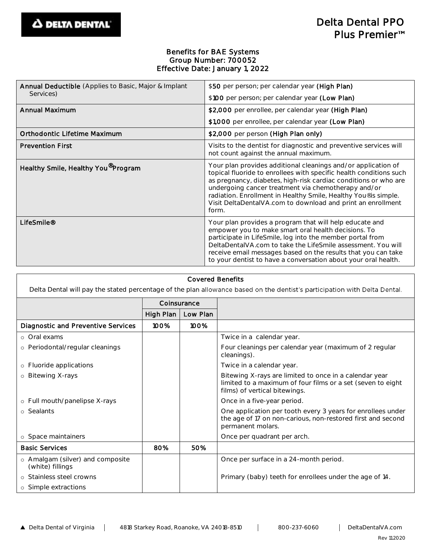## Benefits for BAE Systems Group Number: 700052 Effective Date: January 1, 2022

| Annual Deductible (Applies to Basic, Major & Implant<br>Services) | \$50 per person; per calendar year (High Plan)                                                                                                                                                                                                                                                                                                                                                           |
|-------------------------------------------------------------------|----------------------------------------------------------------------------------------------------------------------------------------------------------------------------------------------------------------------------------------------------------------------------------------------------------------------------------------------------------------------------------------------------------|
|                                                                   | \$100 per person; per calendar year (Low Plan)                                                                                                                                                                                                                                                                                                                                                           |
| Annual Maximum                                                    | \$2,000 per enrollee, per calendar year (High Plan)                                                                                                                                                                                                                                                                                                                                                      |
|                                                                   | \$1,000 per enrollee, per calendar year (Low Plan)                                                                                                                                                                                                                                                                                                                                                       |
| Orthodontic Lifetime Maximum                                      | \$2,000 per person (High Plan only)                                                                                                                                                                                                                                                                                                                                                                      |
| <b>Prevention First</b>                                           | Visits to the dentist for diagnostic and preventive services will<br>not count against the annual maximum.                                                                                                                                                                                                                                                                                               |
| Healthy Smile, Healthy You Program                                | Your plan provides additional cleanings and/or application of<br>topical fluoride to enrollees with specific health conditions such<br>as pregnancy, diabetes, high-risk cardiac conditions or who are<br>undergoing cancer treatment via chemotherapy and/or<br>radiation. Enrollment in Healthy Smile, Healthy You® is simple.<br>Visit DeltaDentalVA.com to download and print an enrollment<br>form. |
| LifeSmile <sup>®</sup>                                            | Your plan provides a program that will help educate and<br>empower you to make smart oral health decisions. To<br>participate in LifeSmile, log into the member portal from<br>DeltaDentalVA.com to take the LifeSmile assessment. You will<br>receive email messages based on the results that you can take<br>to your dentist to have a conversation about your oral health.                           |

| <b>Covered Benefits</b>                                                                                                   |             |          |                                                                                                                                                        |  |  |
|---------------------------------------------------------------------------------------------------------------------------|-------------|----------|--------------------------------------------------------------------------------------------------------------------------------------------------------|--|--|
| Delta Dental will pay the stated percentage of the plan allowance based on the dentist's participation with Delta Dental. |             |          |                                                                                                                                                        |  |  |
|                                                                                                                           | Coinsurance |          |                                                                                                                                                        |  |  |
|                                                                                                                           | High Plan   | Low Plan |                                                                                                                                                        |  |  |
| Diagnostic and Preventive Services                                                                                        | 100%        | 100%     |                                                                                                                                                        |  |  |
| o Oral exams                                                                                                              |             |          | Twice in a calendar year.                                                                                                                              |  |  |
| o Periodontal/regular cleanings                                                                                           |             |          | Four cleanings per calendar year (maximum of 2 regular<br>cleanings).                                                                                  |  |  |
| o Fluoride applications                                                                                                   |             |          | Twice in a calendar year.                                                                                                                              |  |  |
| o Bitewing X-rays                                                                                                         |             |          | Bitewing X-rays are limited to once in a calendar year<br>limited to a maximum of four films or a set (seven to eight<br>films) of vertical bitewings. |  |  |
| o Full mouth/panelipse X-rays                                                                                             |             |          | Once in a five-year period.                                                                                                                            |  |  |
| o Sealants                                                                                                                |             |          | One application per tooth every 3 years for enrollees under<br>the age of 17 on non-carious, non-restored first and second<br>permanent molars.        |  |  |
| o Space maintainers                                                                                                       |             |          | Once per quadrant per arch.                                                                                                                            |  |  |
| <b>Basic Services</b>                                                                                                     | 80%         | 50%      |                                                                                                                                                        |  |  |
| o Amalgam (silver) and composite<br>(white) fillings                                                                      |             |          | Once per surface in a 24-month period.                                                                                                                 |  |  |
| o Stainless steel crowns                                                                                                  |             |          | Primary (baby) teeth for enrollees under the age of 14.                                                                                                |  |  |
| o Simple extractions                                                                                                      |             |          |                                                                                                                                                        |  |  |